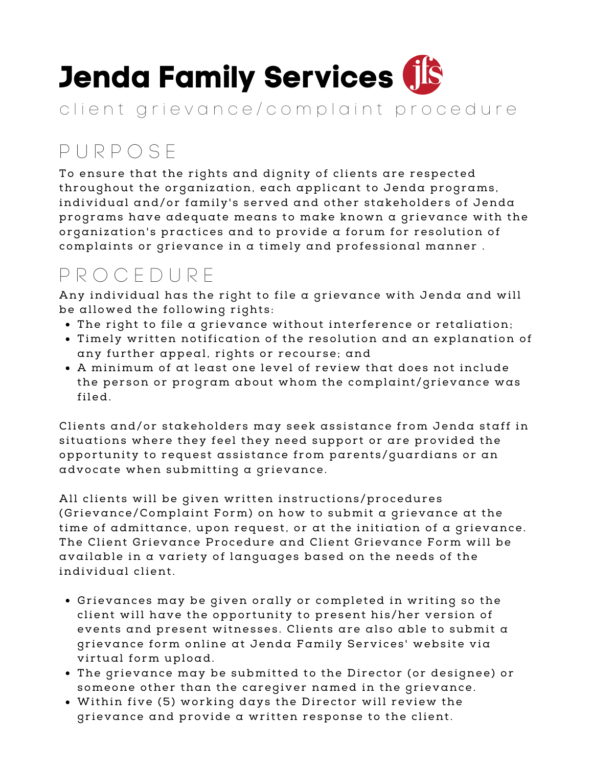## **Jenda Family Services**

client grievance/complaint procedure

## P U R P O S E

To ensure that the rights and dignity of clients are respected throughout the organization, each applicant to Jenda programs, individual and/or family's served and other stakeholders of Jenda programs have adequate means to make known a grievance with the organization's practices and to provide a forum for resolution of complaints or grievance in a timely and professional manner.

## P R O C E D U R E

Any individual has the right to file a grievance with Jenda and will be allowed the following rights:

- The right to file a grievance without interference or retaliation;
- Timely written notification of the resolution and an explanation of any further appeal, rights or recourse; and
- $\bullet$  A minimum of at least one level of review that does not include the person or program about whom the complaint/grievance was filed.

Clients and/or stakeholders may seek assistance from Jenda staff in situations where they feel they need support or are provided the opportunity to request assistance from parents/guardians or an  $advocate$  when submitting  $a$  grievance.

All clients will be given written instructions/procedures (Grievance/Complaint Form) on how to submit a grievance at the time of admittance, upon request, or at the initiation of a grievance. The Client Grievance Procedure and Client Grievance Form will be available in a var iety of languages based on the needs of the individual c lient.

- · Grievances may be given orally or completed in writing so the client will have the opportunity to present his/her version of events and present witnesses. Clients are also able to submit  $\alpha$ grievance form online at Jenda Family Services' website via virtual form upload.
- The grievance may be submitted to the Director (or designee) or someone other than the caregiver named in the grievance.
- $\bullet$  Within five (5) working days the Director will review the grievance and provide a written response to the client.